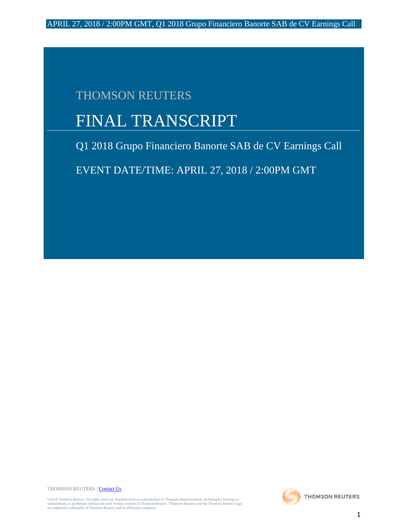# THOMSON REUTERS

# FINAL TRANSCRIPT

Q1 2018 Grupo Financiero Banorte SAB de CV Earnings Call

EVENT DATE/TIME: APRIL 27, 2018 / 2:00PM GMT

THOMSON REUTERS [| Contact Us](http://financial.thomsonreuters.com/en/contact-us.html)

©2018 Thomson Reuters. All rights reserved. Republication or redistribution of Thomson Reuterscontent, including by framing or<br>similarmeans, is prohibited without the prior written consent of Thomson Reuters. Thomson Reute

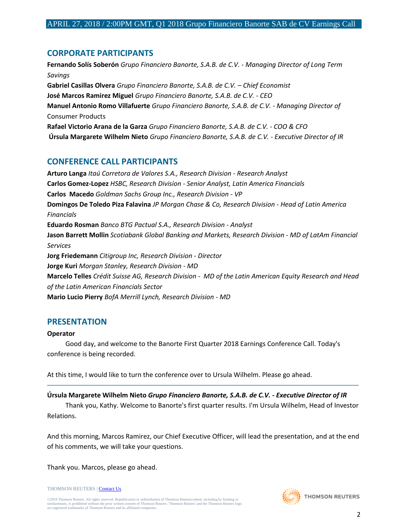# **CORPORATE PARTICIPANTS**

**Fernando Solís Soberón** *Grupo Financiero Banorte, S.A.B. de C.V. - Managing Director of Long Term Savings* **Gabriel Casillas Olvera** *Grupo Financiero Banorte, S.A.B. de C.V. – Chief Economist* **José Marcos Ramirez Miguel** *Grupo Financiero Banorte, S.A.B. de C.V. - CEO* **Manuel Antonio Romo Villafuerte** *Grupo Financiero Banorte, S.A.B. de C.V. - Managing Director of* Consumer Products **Rafael Victorio Arana de la Garza** *Grupo Financiero Banorte, S.A.B. de C.V. - COO & CFO* **Úrsula Margarete Wilhelm Nieto** *Grupo Financiero Banorte, S.A.B. de C.V. - Executive Director of IR*

# **CONFERENCE CALL PARTICIPANTS**

**Arturo Langa** *Itaú Corretora de Valores S.A., Research Division - Research Analyst* **Carlos Gomez-Lopez** *HSBC, Research Division - Senior Analyst, Latin America Financials* **Carlos Macedo** *Goldman Sachs Group Inc., Research Division - VP* **Domingos De Toledo Piza Falavina** *JP Morgan Chase & Co, Research Division - Head of Latin America Financials* **Eduardo Rosman** *Banco BTG Pactual S.A., Research Division - Analyst* **Jason Barrett Mollin** *Scotiabank Global Banking and Markets, Research Division - MD of LatAm Financial Services* **Jorg Friedemann** *Citigroup Inc, Research Division - Director* **Jorge Kuri** *Morgan Stanley, Research Division - MD* **Marcelo Telles** *Crédit Suisse AG, Research Division - MD of the Latin American Equity Research and Head of the Latin American Financials Sector* **Mario Lucio Pierry** *BofA Merrill Lynch, Research Division - MD*

# **PRESENTATION**

#### **Operator**

 Good day, and welcome to the Banorte First Quarter 2018 Earnings Conference Call. Today's conference is being recorded.

At this time, I would like to turn the conference over to Ursula Wilhelm. Please go ahead.

**Úrsula Margarete Wilhelm Nieto** *Grupo Financiero Banorte, S.A.B. de C.V. - Executive Director of IR*

 Thank you, Kathy. Welcome to Banorte's first quarter results. I'm Ursula Wilhelm, Head of Investor Relations.

─────────────────────────────────────────────────────────────────────────────────────

And this morning, Marcos Ramirez, our Chief Executive Officer, will lead the presentation, and at the end of his comments, we will take your questions.

Thank you. Marcos, please go ahead.

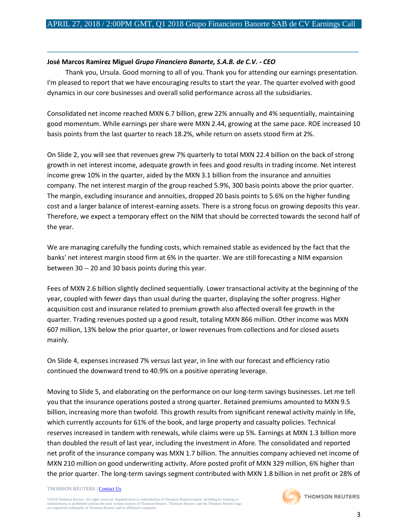#### **José Marcos Ramirez Miguel** *Grupo Financiero Banorte, S.A.B. de C.V. - CEO*

 Thank you, Ursula. Good morning to all of you. Thank you for attending our earnings presentation. I'm pleased to report that we have encouraging results to start the year. The quarter evolved with good dynamics in our core businesses and overall solid performance across all the subsidiaries.

─────────────────────────────────────────────────────────────────────────────────────

Consolidated net income reached MXN 6.7 billion, grew 22% annually and 4% sequentially, maintaining good momentum. While earnings per share were MXN 2.44, growing at the same pace. ROE increased 10 basis points from the last quarter to reach 18.2%, while return on assets stood firm at 2%.

On Slide 2, you will see that revenues grew 7% quarterly to total MXN 22.4 billion on the back of strong growth in net interest income, adequate growth in fees and good results in trading income. Net interest income grew 10% in the quarter, aided by the MXN 3.1 billion from the insurance and annuities company. The net interest margin of the group reached 5.9%, 300 basis points above the prior quarter. The margin, excluding insurance and annuities, dropped 20 basis points to 5.6% on the higher funding cost and a larger balance of interest-earning assets. There is a strong focus on growing deposits this year. Therefore, we expect a temporary effect on the NIM that should be corrected towards the second half of the year.

We are managing carefully the funding costs, which remained stable as evidenced by the fact that the banks' net interest margin stood firm at 6% in the quarter. We are still forecasting a NIM expansion between 30 -- 20 and 30 basis points during this year.

Fees of MXN 2.6 billion slightly declined sequentially. Lower transactional activity at the beginning of the year, coupled with fewer days than usual during the quarter, displaying the softer progress. Higher acquisition cost and insurance related to premium growth also affected overall fee growth in the quarter. Trading revenues posted up a good result, totaling MXN 866 million. Other income was MXN 607 million, 13% below the prior quarter, or lower revenues from collections and for closed assets mainly.

On Slide 4, expenses increased 7% versus last year, in line with our forecast and efficiency ratio continued the downward trend to 40.9% on a positive operating leverage.

Moving to Slide 5, and elaborating on the performance on our long-term savings businesses. Let me tell you that the insurance operations posted a strong quarter. Retained premiums amounted to MXN 9.5 billion, increasing more than twofold. This growth results from significant renewal activity mainly in life, which currently accounts for 61% of the book, and large property and casualty policies. Technical reserves increased in tandem with renewals, while claims were up 5%. Earnings at MXN 1.3 billion more than doubled the result of last year, including the investment in Afore. The consolidated and reported net profit of the insurance company was MXN 1.7 billion. The annuities company achieved net income of MXN 210 million on good underwriting activity. Afore posted profit of MXN 329 million, 6% higher than the prior quarter. The long-term savings segment contributed with MXN 1.8 billion in net profit or 28% of

#### THOMSON REUTERS [| Contact Us](http://financial.thomsonreuters.com/en/contact-us.html)

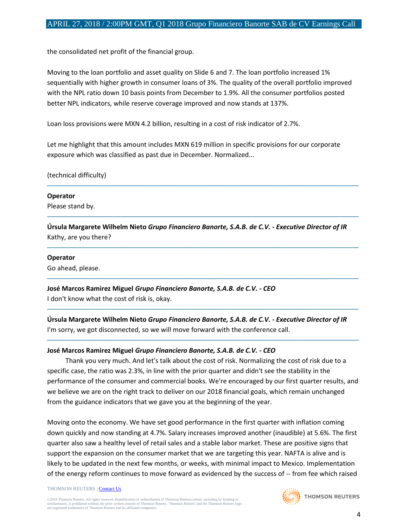the consolidated net profit of the financial group.

Moving to the loan portfolio and asset quality on Slide 6 and 7. The loan portfolio increased 1% sequentially with higher growth in consumer loans of 3%. The quality of the overall portfolio improved with the NPL ratio down 10 basis points from December to 1.9%. All the consumer portfolios posted better NPL indicators, while reserve coverage improved and now stands at 137%.

Loan loss provisions were MXN 4.2 billion, resulting in a cost of risk indicator of 2.7%.

Let me highlight that this amount includes MXN 619 million in specific provisions for our corporate exposure which was classified as past due in December. Normalized...

(technical difficulty)

## **Operator**

Please stand by.

**Úrsula Margarete Wilhelm Nieto** *Grupo Financiero Banorte, S.A.B. de C.V. - Executive Director of IR* Kathy, are you there?

─────────────────────────────────────────────────────────────────────────────────────

─────────────────────────────────────────────────────────────────────────────────────

─────────────────────────────────────────────────────────────────────────────────────

─────────────────────────────────────────────────────────────────────────────────────

─────────────────────────────────────────────────────────────────────────────────────

─────────────────────────────────────────────────────────────────────────────────────

#### **Operator**

Go ahead, please.

**José Marcos Ramirez Miguel** *Grupo Financiero Banorte, S.A.B. de C.V. - CEO* I don't know what the cost of risk is, okay.

**Úrsula Margarete Wilhelm Nieto** *Grupo Financiero Banorte, S.A.B. de C.V. - Executive Director of IR* I'm sorry, we got disconnected, so we will move forward with the conference call.

## **José Marcos Ramirez Miguel** *Grupo Financiero Banorte, S.A.B. de C.V. - CEO*

 Thank you very much. And let's talk about the cost of risk. Normalizing the cost of risk due to a specific case, the ratio was 2.3%, in line with the prior quarter and didn't see the stability in the performance of the consumer and commercial books. We're encouraged by our first quarter results, and we believe we are on the right track to deliver on our 2018 financial goals, which remain unchanged from the guidance indicators that we gave you at the beginning of the year.

Moving onto the economy. We have set good performance in the first quarter with inflation coming down quickly and now standing at 4.7%. Salary increases improved another (inaudible) at 5.6%. The first quarter also saw a healthy level of retail sales and a stable labor market. These are positive signs that support the expansion on the consumer market that we are targeting this year. NAFTA is alive and is likely to be updated in the next few months, or weeks, with minimal impact to Mexico. Implementation of the energy reform continues to move forward as evidenced by the success of -- from fee which raised

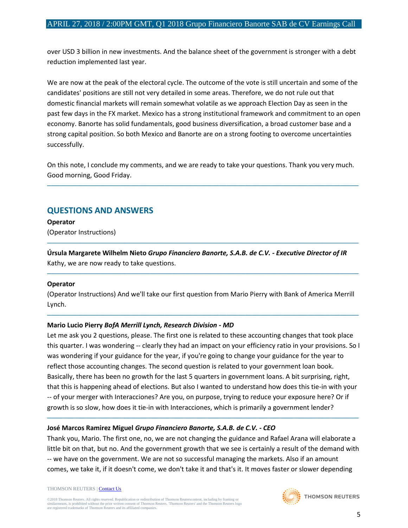over USD 3 billion in new investments. And the balance sheet of the government is stronger with a debt reduction implemented last year.

We are now at the peak of the electoral cycle. The outcome of the vote is still uncertain and some of the candidates' positions are still not very detailed in some areas. Therefore, we do not rule out that domestic financial markets will remain somewhat volatile as we approach Election Day as seen in the past few days in the FX market. Mexico has a strong institutional framework and commitment to an open economy. Banorte has solid fundamentals, good business diversification, a broad customer base and a strong capital position. So both Mexico and Banorte are on a strong footing to overcome uncertainties successfully.

On this note, I conclude my comments, and we are ready to take your questions. Thank you very much. Good morning, Good Friday.

─────────────────────────────────────────────────────────────────────────────────────

# **QUESTIONS AND ANSWERS**

**Operator** (Operator Instructions)

**Úrsula Margarete Wilhelm Nieto** *Grupo Financiero Banorte, S.A.B. de C.V. - Executive Director of IR* Kathy, we are now ready to take questions.

─────────────────────────────────────────────────────────────────────────────────────

─────────────────────────────────────────────────────────────────────────────────────

## **Operator**

(Operator Instructions) And we'll take our first question from Mario Pierry with Bank of America Merrill Lynch.

─────────────────────────────────────────────────────────────────────────────────────

## **Mario Lucio Pierry** *BofA Merrill Lynch, Research Division - MD*

Let me ask you 2 questions, please. The first one is related to these accounting changes that took place this quarter. I was wondering -- clearly they had an impact on your efficiency ratio in your provisions. So I was wondering if your guidance for the year, if you're going to change your guidance for the year to reflect those accounting changes. The second question is related to your government loan book. Basically, there has been no growth for the last 5 quarters in government loans. A bit surprising, right, that this is happening ahead of elections. But also I wanted to understand how does this tie-in with your -- of your merger with Interacciones? Are you, on purpose, trying to reduce your exposure here? Or if growth is so slow, how does it tie-in with Interacciones, which is primarily a government lender?

## **José Marcos Ramirez Miguel** *Grupo Financiero Banorte, S.A.B. de C.V. - CEO*

Thank you, Mario. The first one, no, we are not changing the guidance and Rafael Arana will elaborate a little bit on that, but no. And the government growth that we see is certainly a result of the demand with -- we have on the government. We are not so successful managing the markets. Also if an amount comes, we take it, if it doesn't come, we don't take it and that's it. It moves faster or slower depending

─────────────────────────────────────────────────────────────────────────────────────

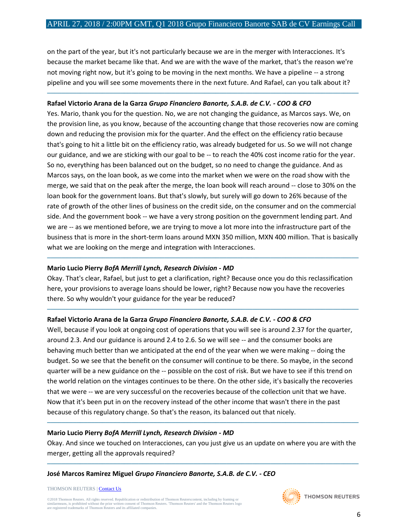on the part of the year, but it's not particularly because we are in the merger with Interacciones. It's because the market became like that. And we are with the wave of the market, that's the reason we're not moving right now, but it's going to be moving in the next months. We have a pipeline -- a strong pipeline and you will see some movements there in the next future. And Rafael, can you talk about it?

─────────────────────────────────────────────────────────────────────────────────────

#### **Rafael Victorio Arana de la Garza** *Grupo Financiero Banorte, S.A.B. de C.V. - COO & CFO*

Yes. Mario, thank you for the question. No, we are not changing the guidance, as Marcos says. We, on the provision line, as you know, because of the accounting change that those recoveries now are coming down and reducing the provision mix for the quarter. And the effect on the efficiency ratio because that's going to hit a little bit on the efficiency ratio, was already budgeted for us. So we will not change our guidance, and we are sticking with our goal to be -- to reach the 40% cost income ratio for the year. So no, everything has been balanced out on the budget, so no need to change the guidance. And as Marcos says, on the loan book, as we come into the market when we were on the road show with the merge, we said that on the peak after the merge, the loan book will reach around -- close to 30% on the loan book for the government loans. But that's slowly, but surely will go down to 26% because of the rate of growth of the other lines of business on the credit side, on the consumer and on the commercial side. And the government book -- we have a very strong position on the government lending part. And we are -- as we mentioned before, we are trying to move a lot more into the infrastructure part of the business that is more in the short-term loans around MXN 350 million, MXN 400 million. That is basically what we are looking on the merge and integration with Interacciones.

#### **Mario Lucio Pierry** *BofA Merrill Lynch, Research Division - MD*

Okay. That's clear, Rafael, but just to get a clarification, right? Because once you do this reclassification here, your provisions to average loans should be lower, right? Because now you have the recoveries there. So why wouldn't your guidance for the year be reduced?

─────────────────────────────────────────────────────────────────────────────────────

─────────────────────────────────────────────────────────────────────────────────────

#### **Rafael Victorio Arana de la Garza** *Grupo Financiero Banorte, S.A.B. de C.V. - COO & CFO*

Well, because if you look at ongoing cost of operations that you will see is around 2.37 for the quarter, around 2.3. And our guidance is around 2.4 to 2.6. So we will see -- and the consumer books are behaving much better than we anticipated at the end of the year when we were making -- doing the budget. So we see that the benefit on the consumer will continue to be there. So maybe, in the second quarter will be a new guidance on the -- possible on the cost of risk. But we have to see if this trend on the world relation on the vintages continues to be there. On the other side, it's basically the recoveries that we were -- we are very successful on the recoveries because of the collection unit that we have. Now that it's been put in on the recovery instead of the other income that wasn't there in the past because of this regulatory change. So that's the reason, its balanced out that nicely.

#### **Mario Lucio Pierry** *BofA Merrill Lynch, Research Division - MD*

Okay. And since we touched on Interacciones, can you just give us an update on where you are with the merger, getting all the approvals required?

─────────────────────────────────────────────────────────────────────────────────────

─────────────────────────────────────────────────────────────────────────────────────

#### **José Marcos Ramirez Miguel** *Grupo Financiero Banorte, S.A.B. de C.V. - CEO*

THOMSON REUTERS [| Contact Us](http://financial.thomsonreuters.com/en/contact-us.html)

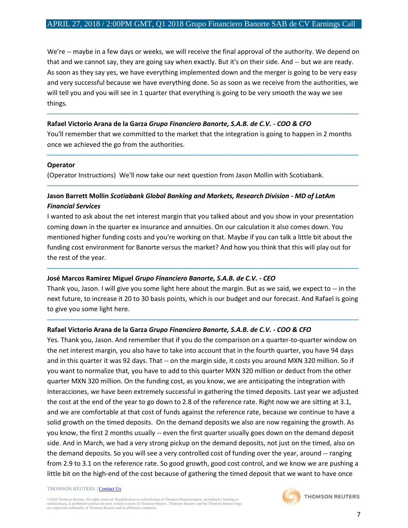We're -- maybe in a few days or weeks, we will receive the final approval of the authority. We depend on that and we cannot say, they are going say when exactly. But it's on their side. And -- but we are ready. As soon as they say yes, we have everything implemented down and the merger is going to be very easy and very successful because we have everything done. So as soon as we receive from the authorities, we will tell you and you will see in 1 quarter that everything is going to be very smooth the way we see things.

#### **Rafael Victorio Arana de la Garza** *Grupo Financiero Banorte, S.A.B. de C.V. - COO & CFO*

You'll remember that we committed to the market that the integration is going to happen in 2 months once we achieved the go from the authorities.

─────────────────────────────────────────────────────────────────────────────────────

─────────────────────────────────────────────────────────────────────────────────────

─────────────────────────────────────────────────────────────────────────────────────

#### **Operator**

(Operator Instructions) We'll now take our next question from Jason Mollin with Scotiabank.

## **Jason Barrett Mollin** *Scotiabank Global Banking and Markets, Research Division - MD of LatAm Financial Services*

I wanted to ask about the net interest margin that you talked about and you show in your presentation coming down in the quarter ex insurance and annuities. On our calculation it also comes down. You mentioned higher funding costs and you're working on that. Maybe if you can talk a little bit about the funding cost environment for Banorte versus the market? And how you think that this will play out for the rest of the year.

#### **José Marcos Ramirez Miguel** *Grupo Financiero Banorte, S.A.B. de C.V. - CEO*

Thank you, Jason. I will give you some light here about the margin. But as we said, we expect to -- in the next future, to increase it 20 to 30 basis points, which is our budget and our forecast. And Rafael is going to give you some light here.

─────────────────────────────────────────────────────────────────────────────────────

─────────────────────────────────────────────────────────────────────────────────────

#### **Rafael Victorio Arana de la Garza** *Grupo Financiero Banorte, S.A.B. de C.V. - COO & CFO*

Yes. Thank you, Jason. And remember that if you do the comparison on a quarter-to-quarter window on the net interest margin, you also have to take into account that in the fourth quarter, you have 94 days and in this quarter it was 92 days. That -- on the margin side, it costs you around MXN 320 million. So if you want to normalize that, you have to add to this quarter MXN 320 million or deduct from the other quarter MXN 320 million. On the funding cost, as you know, we are anticipating the integration with Interacciones, we have been extremely successful in gathering the timed deposits. Last year we adjusted the cost at the end of the year to go down to 2.8 of the reference rate. Right now we are sitting at 3.1, and we are comfortable at that cost of funds against the reference rate, because we continue to have a solid growth on the timed deposits. On the demand deposits we also are now regaining the growth. As you know, the first 2 months usually -- even the first quarter usually goes down on the demand deposit side. And in March, we had a very strong pickup on the demand deposits, not just on the timed, also on the demand deposits. So you will see a very controlled cost of funding over the year, around -- ranging from 2.9 to 3.1 on the reference rate. So good growth, good cost control, and we know we are pushing a little bit on the high-end of the cost because of gathering the timed deposit that we want to have once

#### THOMSON REUTERS [| Contact Us](http://financial.thomsonreuters.com/en/contact-us.html)

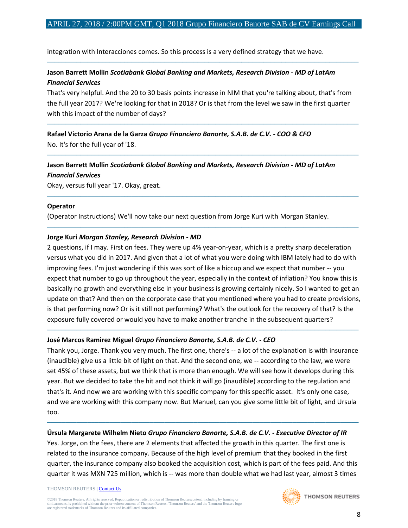─────────────────────────────────────────────────────────────────────────────────────

integration with Interacciones comes. So this process is a very defined strategy that we have.

## **Jason Barrett Mollin** *Scotiabank Global Banking and Markets, Research Division - MD of LatAm Financial Services*

That's very helpful. And the 20 to 30 basis points increase in NIM that you're talking about, that's from the full year 2017? We're looking for that in 2018? Or is that from the level we saw in the first quarter with this impact of the number of days?

─────────────────────────────────────────────────────────────────────────────────────

─────────────────────────────────────────────────────────────────────────────────────

─────────────────────────────────────────────────────────────────────────────────────

─────────────────────────────────────────────────────────────────────────────────────

**Rafael Victorio Arana de la Garza** *Grupo Financiero Banorte, S.A.B. de C.V. - COO & CFO* No. It's for the full year of '18.

# **Jason Barrett Mollin** *Scotiabank Global Banking and Markets, Research Division - MD of LatAm Financial Services*

Okay, versus full year '17. Okay, great.

#### **Operator**

(Operator Instructions) We'll now take our next question from Jorge Kuri with Morgan Stanley.

#### **Jorge Kuri** *Morgan Stanley, Research Division - MD*

2 questions, if I may. First on fees. They were up 4% year-on-year, which is a pretty sharp deceleration versus what you did in 2017. And given that a lot of what you were doing with IBM lately had to do with improving fees. I'm just wondering if this was sort of like a hiccup and we expect that number -- you expect that number to go up throughout the year, especially in the context of inflation? You know this is basically no growth and everything else in your business is growing certainly nicely. So I wanted to get an update on that? And then on the corporate case that you mentioned where you had to create provisions, is that performing now? Or is it still not performing? What's the outlook for the recovery of that? Is the exposure fully covered or would you have to make another tranche in the subsequent quarters?

## **José Marcos Ramirez Miguel** *Grupo Financiero Banorte, S.A.B. de C.V. - CEO*

Thank you, Jorge. Thank you very much. The first one, there's -- a lot of the explanation is with insurance (inaudible) give us a little bit of light on that. And the second one, we -- according to the law, we were set 45% of these assets, but we think that is more than enough. We will see how it develops during this year. But we decided to take the hit and not think it will go (inaudible) according to the regulation and that's it. And now we are working with this specific company for this specific asset. It's only one case, and we are working with this company now. But Manuel, can you give some little bit of light, and Ursula too.

─────────────────────────────────────────────────────────────────────────────────────

## **Úrsula Margarete Wilhelm Nieto** *Grupo Financiero Banorte, S.A.B. de C.V. - Executive Director of IR*

Yes. Jorge, on the fees, there are 2 elements that affected the growth in this quarter. The first one is related to the insurance company. Because of the high level of premium that they booked in the first quarter, the insurance company also booked the acquisition cost, which is part of the fees paid. And this quarter it was MXN 725 million, which is -- was more than double what we had last year, almost 3 times

─────────────────────────────────────────────────────────────────────────────────────

#### THOMSON REUTERS [| Contact Us](http://financial.thomsonreuters.com/en/contact-us.html)

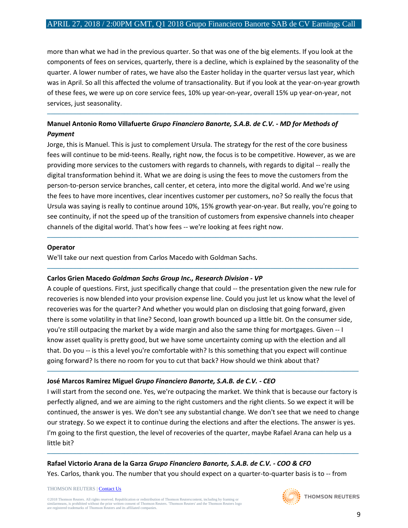more than what we had in the previous quarter. So that was one of the big elements. If you look at the components of fees on services, quarterly, there is a decline, which is explained by the seasonality of the quarter. A lower number of rates, we have also the Easter holiday in the quarter versus last year, which was in April. So all this affected the volume of transactionality. But if you look at the year-on-year growth of these fees, we were up on core service fees, 10% up year-on-year, overall 15% up year-on-year, not services, just seasonality.

─────────────────────────────────────────────────────────────────────────────────────

## **Manuel Antonio Romo Villafuerte** *Grupo Financiero Banorte, S.A.B. de C.V. - MD for Methods of Payment*

Jorge, this is Manuel. This is just to complement Ursula. The strategy for the rest of the core business fees will continue to be mid-teens. Really, right now, the focus is to be competitive. However, as we are providing more services to the customers with regards to channels, with regards to digital -- really the digital transformation behind it. What we are doing is using the fees to move the customers from the person-to-person service branches, call center, et cetera, into more the digital world. And we're using the fees to have more incentives, clear incentives customer per customers, no? So really the focus that Ursula was saying is really to continue around 10%, 15% growth year-on-year. But really, you're going to see continuity, if not the speed up of the transition of customers from expensive channels into cheaper channels of the digital world. That's how fees -- we're looking at fees right now.

─────────────────────────────────────────────────────────────────────────────────────

─────────────────────────────────────────────────────────────────────────────────────

#### **Operator**

We'll take our next question from Carlos Macedo with Goldman Sachs.

#### **Carlos Grien Macedo** *Goldman Sachs Group Inc., Research Division - VP*

A couple of questions. First, just specifically change that could -- the presentation given the new rule for recoveries is now blended into your provision expense line. Could you just let us know what the level of recoveries was for the quarter? And whether you would plan on disclosing that going forward, given there is some volatility in that line? Second, loan growth bounced up a little bit. On the consumer side, you're still outpacing the market by a wide margin and also the same thing for mortgages. Given -- I know asset quality is pretty good, but we have some uncertainty coming up with the election and all that. Do you -- is this a level you're comfortable with? Is this something that you expect will continue going forward? Is there no room for you to cut that back? How should we think about that?

#### **José Marcos Ramirez Miguel** *Grupo Financiero Banorte, S.A.B. de C.V. - CEO*

I will start from the second one. Yes, we're outpacing the market. We think that is because our factory is perfectly aligned, and we are aiming to the right customers and the right clients. So we expect it will be continued, the answer is yes. We don't see any substantial change. We don't see that we need to change our strategy. So we expect it to continue during the elections and after the elections. The answer is yes. I'm going to the first question, the level of recoveries of the quarter, maybe Rafael Arana can help us a little bit?

─────────────────────────────────────────────────────────────────────────────────────

─────────────────────────────────────────────────────────────────────────────────────

## **Rafael Victorio Arana de la Garza** *Grupo Financiero Banorte, S.A.B. de C.V. - COO & CFO* Yes. Carlos, thank you. The number that you should expect on a quarter-to-quarter basis is to -- from

THOMSON REUTERS [| Contact Us](http://financial.thomsonreuters.com/en/contact-us.html)

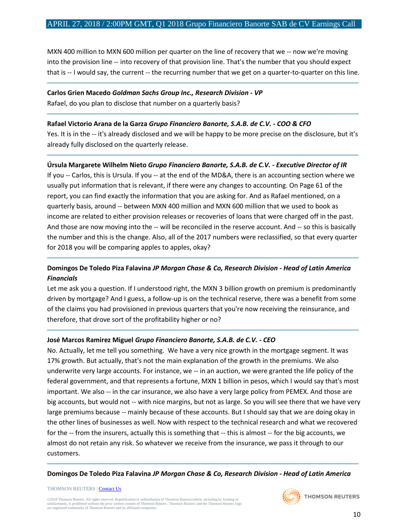#### APRIL 27, 2018 / 2:00PM GMT, Q1 2018 Grupo Financiero Banorte SAB de CV Earnings Call

MXN 400 million to MXN 600 million per quarter on the line of recovery that we -- now we're moving into the provision line -- into recovery of that provision line. That's the number that you should expect that is -- I would say, the current -- the recurring number that we get on a quarter-to-quarter on this line.

─────────────────────────────────────────────────────────────────────────────────────

# **Carlos Grien Macedo** *Goldman Sachs Group Inc., Research Division - VP*

Rafael, do you plan to disclose that number on a quarterly basis?

#### **Rafael Victorio Arana de la Garza** *Grupo Financiero Banorte, S.A.B. de C.V. - COO & CFO*

Yes. It is in the -- it's already disclosed and we will be happy to be more precise on the disclosure, but it's already fully disclosed on the quarterly release.

─────────────────────────────────────────────────────────────────────────────────────

─────────────────────────────────────────────────────────────────────────────────────

#### **Úrsula Margarete Wilhelm Nieto** *Grupo Financiero Banorte, S.A.B. de C.V. - Executive Director of IR*

If you -- Carlos, this is Ursula. If you -- at the end of the MD&A, there is an accounting section where we usually put information that is relevant, if there were any changes to accounting. On Page 61 of the report, you can find exactly the information that you are asking for. And as Rafael mentioned, on a quarterly basis, around -- between MXN 400 million and MXN 600 million that we used to book as income are related to either provision releases or recoveries of loans that were charged off in the past. And those are now moving into the -- will be reconciled in the reserve account. And -- so this is basically the number and this is the change. Also, all of the 2017 numbers were reclassified, so that every quarter for 2018 you will be comparing apples to apples, okay?

## **Domingos De Toledo Piza Falavina** *JP Morgan Chase & Co, Research Division - Head of Latin America Financials*

─────────────────────────────────────────────────────────────────────────────────────

Let me ask you a question. If I understood right, the MXN 3 billion growth on premium is predominantly driven by mortgage? And I guess, a follow-up is on the technical reserve, there was a benefit from some of the claims you had provisioned in previous quarters that you're now receiving the reinsurance, and therefore, that drove sort of the profitability higher or no?

─────────────────────────────────────────────────────────────────────────────────────

## **José Marcos Ramirez Miguel** *Grupo Financiero Banorte, S.A.B. de C.V. - CEO*

No. Actually, let me tell you something. We have a very nice growth in the mortgage segment. It was 17% growth. But actually, that's not the main explanation of the growth in the premiums. We also underwrite very large accounts. For instance, we -- in an auction, we were granted the life policy of the federal government, and that represents a fortune, MXN 1 billion in pesos, which I would say that's most important. We also -- in the car insurance, we also have a very large policy from PEMEX. And those are big accounts, but would not -- with nice margins, but not as large. So you will see there that we have very large premiums because -- mainly because of these accounts. But I should say that we are doing okay in the other lines of businesses as well. Now with respect to the technical research and what we recovered for the -- from the insurers, actually this is something that -- this is almost -- for the big accounts, we almost do not retain any risk. So whatever we receive from the insurance, we pass it through to our customers.

───────────────────────────────────────────────────────────────────────────────────── **Domingos De Toledo Piza Falavina** *JP Morgan Chase & Co, Research Division - Head of Latin America* 

#### THOMSON REUTERS [| Contact Us](http://financial.thomsonreuters.com/en/contact-us.html)

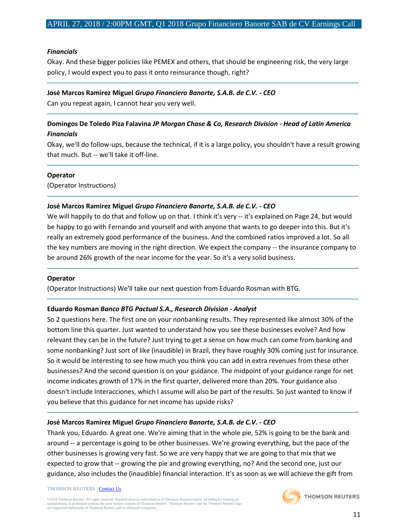#### *Financials*

Okay. And these bigger policies like PEMEX and others, that should be engineering risk, the very large policy, I would expect you to pass it onto reinsurance though, right?

─────────────────────────────────────────────────────────────────────────────────────

#### **José Marcos Ramirez Miguel** *Grupo Financiero Banorte, S.A.B. de C.V. - CEO*

Can you repeat again, I cannot hear you very well.

## **Domingos De Toledo Piza Falavina** *JP Morgan Chase & Co, Research Division - Head of Latin America Financials*

─────────────────────────────────────────────────────────────────────────────────────

Okay, we'll do follow-ups, because the technical, if it is a large policy, you shouldn't have a result growing that much. But -- we'll take it off-line.

─────────────────────────────────────────────────────────────────────────────────────

─────────────────────────────────────────────────────────────────────────────────────

#### **Operator**

(Operator Instructions)

#### **José Marcos Ramirez Miguel** *Grupo Financiero Banorte, S.A.B. de C.V. - CEO*

We will happily to do that and follow up on that. I think it's very -- it's explained on Page 24, but would be happy to go with Fernando and yourself and with anyone that wants to go deeper into this. But it's really an extremely good performance of the business. And the combined ratios improved a lot. So all the key numbers are moving in the right direction. We expect the company -- the insurance company to be around 26% growth of the near income for the year. So it's a very solid business.

─────────────────────────────────────────────────────────────────────────────────────

─────────────────────────────────────────────────────────────────────────────────────

#### **Operator**

(Operator Instructions) We'll take our next question from Eduardo Rosman with BTG.

#### **Eduardo Rosman** *Banco BTG Pactual S.A., Research Division - Analyst*

So 2 questions here. The first one on your nonbanking results. They represented like almost 30% of the bottom line this quarter. Just wanted to understand how you see these businesses evolve? And how relevant they can be in the future? Just trying to get a sense on how much can come from banking and some nonbanking? Just sort of like (inaudible) in Brazil, they have roughly 30% coming just for insurance. So it would be interesting to see how much you think you can add in extra revenues from these other businesses? And the second question is on your guidance. The midpoint of your guidance range for net income indicates growth of 17% in the first quarter, delivered more than 20%. Your guidance also doesn't include Interacciones, which I assume will also be part of the results. So just wanted to know if you believe that this guidance for net income has upside risks?

─────────────────────────────────────────────────────────────────────────────────────

#### **José Marcos Ramirez Miguel** *Grupo Financiero Banorte, S.A.B. de C.V. - CEO*

Thank you, Eduardo. A great one. We're aiming that in the whole pie, 52% is going to be the bank and around -- a percentage is going to be other businesses. We're growing everything, but the pace of the other businesses is growing very fast. So we are very happy that we are going to that mix that we expected to grow that -- growing the pie and growing everything, no? And the second one, just our guidance, also includes the (inaudible) financial interaction. It's as soon as we will achieve the gift from

#### THOMSON REUTERS [| Contact Us](http://financial.thomsonreuters.com/en/contact-us.html)

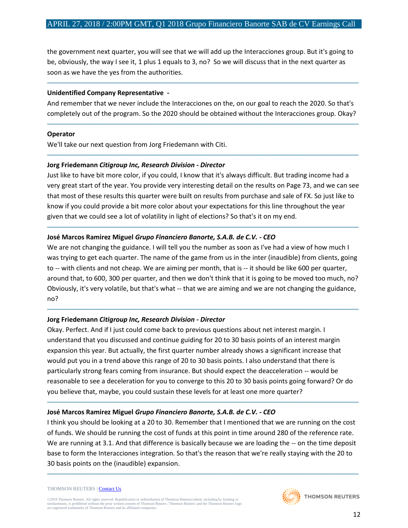the government next quarter, you will see that we will add up the Interacciones group. But it's going to be, obviously, the way I see it, 1 plus 1 equals to 3, no? So we will discuss that in the next quarter as soon as we have the yes from the authorities.

#### **Unidentified Company Representative** *-*

And remember that we never include the Interacciones on the, on our goal to reach the 2020. So that's completely out of the program. So the 2020 should be obtained without the Interacciones group. Okay?

─────────────────────────────────────────────────────────────────────────────────────

─────────────────────────────────────────────────────────────────────────────────────

─────────────────────────────────────────────────────────────────────────────────────

#### **Operator**

We'll take our next question from Jorg Friedemann with Citi.

## **Jorg Friedemann** *Citigroup Inc, Research Division - Director*

Just like to have bit more color, if you could, I know that it's always difficult. But trading income had a very great start of the year. You provide very interesting detail on the results on Page 73, and we can see that most of these results this quarter were built on results from purchase and sale of FX. So just like to know if you could provide a bit more color about your expectations for this line throughout the year given that we could see a lot of volatility in light of elections? So that's it on my end.

─────────────────────────────────────────────────────────────────────────────────────

## **José Marcos Ramirez Miguel** *Grupo Financiero Banorte, S.A.B. de C.V. - CEO*

We are not changing the guidance. I will tell you the number as soon as I've had a view of how much I was trying to get each quarter. The name of the game from us in the inter (inaudible) from clients, going to -- with clients and not cheap. We are aiming per month, that is -- it should be like 600 per quarter, around that, to 600, 300 per quarter, and then we don't think that it is going to be moved too much, no? Obviously, it's very volatile, but that's what -- that we are aiming and we are not changing the guidance, no?

─────────────────────────────────────────────────────────────────────────────────────

## **Jorg Friedemann** *Citigroup Inc, Research Division - Director*

Okay. Perfect. And if I just could come back to previous questions about net interest margin. I understand that you discussed and continue guiding for 20 to 30 basis points of an interest margin expansion this year. But actually, the first quarter number already shows a significant increase that would put you in a trend above this range of 20 to 30 basis points. I also understand that there is particularly strong fears coming from insurance. But should expect the deacceleration -- would be reasonable to see a deceleration for you to converge to this 20 to 30 basis points going forward? Or do you believe that, maybe, you could sustain these levels for at least one more quarter?

## **José Marcos Ramirez Miguel** *Grupo Financiero Banorte, S.A.B. de C.V. - CEO*

I think you should be looking at a 20 to 30. Remember that I mentioned that we are running on the cost of funds. We should be running the cost of funds at this point in time around 280 of the reference rate. We are running at 3.1. And that difference is basically because we are loading the -- on the time deposit base to form the Interacciones integration. So that's the reason that we're really staying with the 20 to 30 basis points on the (inaudible) expansion.

─────────────────────────────────────────────────────────────────────────────────────

─────────────────────────────────────────────────────────────────────────────────────

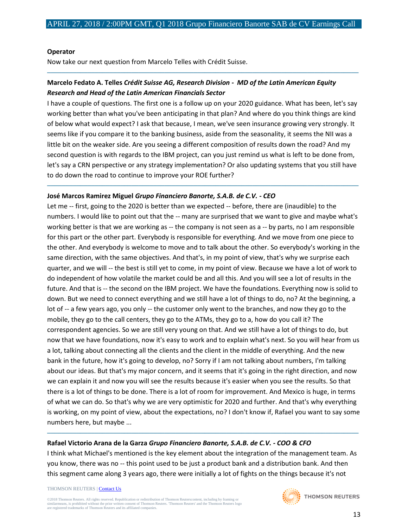─────────────────────────────────────────────────────────────────────────────────────

#### **Operator**

Now take our next question from Marcelo Telles with Crédit Suisse.

## **Marcelo Fedato A. Telles** *Crédit Suisse AG, Research Division - MD of the Latin American Equity Research and Head of the Latin American Financials Sector*

I have a couple of questions. The first one is a follow up on your 2020 guidance. What has been, let's say working better than what you've been anticipating in that plan? And where do you think things are kind of below what would expect? I ask that because, I mean, we've seen insurance growing very strongly. It seems like if you compare it to the banking business, aside from the seasonality, it seems the NII was a little bit on the weaker side. Are you seeing a different composition of results down the road? And my second question is with regards to the IBM project, can you just remind us what is left to be done from, let's say a CRN perspective or any strategy implementation? Or also updating systems that you still have to do down the road to continue to improve your ROE further?

─────────────────────────────────────────────────────────────────────────────────────

#### **José Marcos Ramirez Miguel** *Grupo Financiero Banorte, S.A.B. de C.V. - CEO*

Let me -- first, going to the 2020 is better than we expected -- before, there are (inaudible) to the numbers. I would like to point out that the -- many are surprised that we want to give and maybe what's working better is that we are working as -- the company is not seen as a -- by parts, no I am responsible for this part or the other part. Everybody is responsible for everything. And we move from one piece to the other. And everybody is welcome to move and to talk about the other. So everybody's working in the same direction, with the same objectives. And that's, in my point of view, that's why we surprise each quarter, and we will -- the best is still yet to come, in my point of view. Because we have a lot of work to do independent of how volatile the market could be and all this. And you will see a lot of results in the future. And that is -- the second on the IBM project. We have the foundations. Everything now is solid to down. But we need to connect everything and we still have a lot of things to do, no? At the beginning, a lot of -- a few years ago, you only -- the customer only went to the branches, and now they go to the mobile, they go to the call centers, they go to the ATMs, they go to a, how do you call it? The correspondent agencies. So we are still very young on that. And we still have a lot of things to do, but now that we have foundations, now it's easy to work and to explain what's next. So you will hear from us a lot, talking about connecting all the clients and the client in the middle of everything. And the new bank in the future, how it's going to develop, no? Sorry if I am not talking about numbers, I'm talking about our ideas. But that's my major concern, and it seems that it's going in the right direction, and now we can explain it and now you will see the results because it's easier when you see the results. So that there is a lot of things to be done. There is a lot of room for improvement. And Mexico is huge, in terms of what we can do. So that's why we are very optimistic for 2020 and further. And that's why everything is working, on my point of view, about the expectations, no? I don't know if, Rafael you want to say some numbers here, but maybe ...

## **Rafael Victorio Arana de la Garza** *Grupo Financiero Banorte, S.A.B. de C.V. - COO & CFO*

I think what Michael's mentioned is the key element about the integration of the management team. As you know, there was no -- this point used to be just a product bank and a distribution bank. And then this segment came along 3 years ago, there were initially a lot of fights on the things because it's not

─────────────────────────────────────────────────────────────────────────────────────

#### THOMSON REUTERS [| Contact Us](http://financial.thomsonreuters.com/en/contact-us.html)

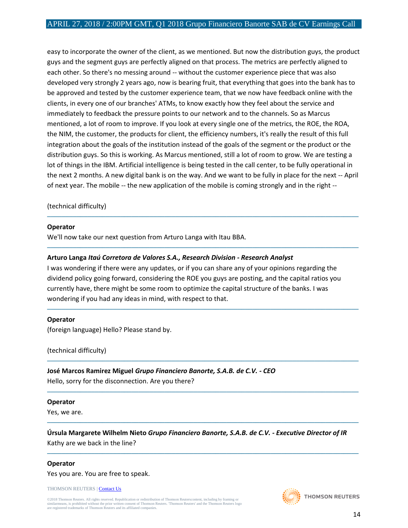easy to incorporate the owner of the client, as we mentioned. But now the distribution guys, the product guys and the segment guys are perfectly aligned on that process. The metrics are perfectly aligned to each other. So there's no messing around -- without the customer experience piece that was also developed very strongly 2 years ago, now is bearing fruit, that everything that goes into the bank has to be approved and tested by the customer experience team, that we now have feedback online with the clients, in every one of our branches' ATMs, to know exactly how they feel about the service and immediately to feedback the pressure points to our network and to the channels. So as Marcus mentioned, a lot of room to improve. If you look at every single one of the metrics, the ROE, the ROA, the NIM, the customer, the products for client, the efficiency numbers, it's really the result of this full integration about the goals of the institution instead of the goals of the segment or the product or the distribution guys. So this is working. As Marcus mentioned, still a lot of room to grow. We are testing a lot of things in the IBM. Artificial intelligence is being tested in the call center, to be fully operational in the next 2 months. A new digital bank is on the way. And we want to be fully in place for the next -- April of next year. The mobile -- the new application of the mobile is coming strongly and in the right --

─────────────────────────────────────────────────────────────────────────────────────

─────────────────────────────────────────────────────────────────────────────────────

─────────────────────────────────────────────────────────────────────────────────────

─────────────────────────────────────────────────────────────────────────────────────

─────────────────────────────────────────────────────────────────────────────────────

─────────────────────────────────────────────────────────────────────────────────────

─────────────────────────────────────────────────────────────────────────────────────

#### (technical difficulty)

#### **Operator**

We'll now take our next question from Arturo Langa with Itau BBA.

#### **Arturo Langa** *Itaú Corretora de Valores S.A., Research Division - Research Analyst*

I was wondering if there were any updates, or if you can share any of your opinions regarding the dividend policy going forward, considering the ROE you guys are posting, and the capital ratios you currently have, there might be some room to optimize the capital structure of the banks. I was wondering if you had any ideas in mind, with respect to that.

#### **Operator**

(foreign language) Hello? Please stand by.

(technical difficulty)

**José Marcos Ramirez Miguel** *Grupo Financiero Banorte, S.A.B. de C.V. - CEO*

Hello, sorry for the disconnection. Are you there?

#### **Operator**

Yes, we are.

**Úrsula Margarete Wilhelm Nieto** *Grupo Financiero Banorte, S.A.B. de C.V. - Executive Director of IR* Kathy are we back in the line?

#### **Operator**

Yes you are. You are free to speak.

THOMSON REUTERS [| Contact Us](http://financial.thomsonreuters.com/en/contact-us.html)

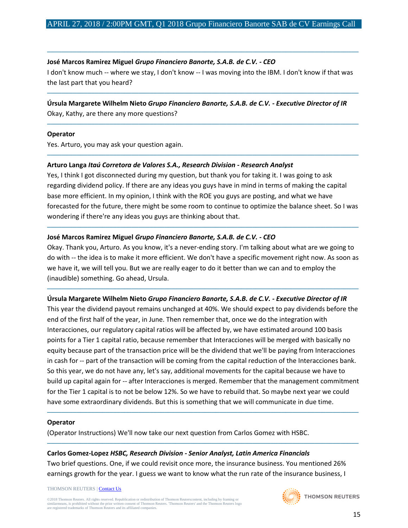─────────────────────────────────────────────────────────────────────────────────────

#### **José Marcos Ramirez Miguel** *Grupo Financiero Banorte, S.A.B. de C.V. - CEO*

I don't know much -- where we stay, I don't know -- I was moving into the IBM. I don't know if that was the last part that you heard?

─────────────────────────────────────────────────────────────────────────────────────

─────────────────────────────────────────────────────────────────────────────────────

─────────────────────────────────────────────────────────────────────────────────────

# **Úrsula Margarete Wilhelm Nieto** *Grupo Financiero Banorte, S.A.B. de C.V. - Executive Director of IR*

Okay, Kathy, are there any more questions?

#### **Operator**

Yes. Arturo, you may ask your question again.

#### **Arturo Langa** *Itaú Corretora de Valores S.A., Research Division - Research Analyst*

Yes, I think I got disconnected during my question, but thank you for taking it. I was going to ask regarding dividend policy. If there are any ideas you guys have in mind in terms of making the capital base more efficient. In my opinion, I think with the ROE you guys are posting, and what we have forecasted for the future, there might be some room to continue to optimize the balance sheet. So I was wondering if there're any ideas you guys are thinking about that.

─────────────────────────────────────────────────────────────────────────────────────

#### **José Marcos Ramirez Miguel** *Grupo Financiero Banorte, S.A.B. de C.V. - CEO*

Okay. Thank you, Arturo. As you know, it's a never-ending story. I'm talking about what are we going to do with -- the idea is to make it more efficient. We don't have a specific movement right now. As soon as we have it, we will tell you. But we are really eager to do it better than we can and to employ the (inaudible) something. Go ahead, Ursula.

─────────────────────────────────────────────────────────────────────────────────────

#### **Úrsula Margarete Wilhelm Nieto** *Grupo Financiero Banorte, S.A.B. de C.V. - Executive Director of IR*

This year the dividend payout remains unchanged at 40%. We should expect to pay dividends before the end of the first half of the year, in June. Then remember that, once we do the integration with Interacciones, our regulatory capital ratios will be affected by, we have estimated around 100 basis points for a Tier 1 capital ratio, because remember that Interacciones will be merged with basically no equity because part of the transaction price will be the dividend that we'll be paying from Interacciones in cash for -- part of the transaction will be coming from the capital reduction of the Interacciones bank. So this year, we do not have any, let's say, additional movements for the capital because we have to build up capital again for -- after Interacciones is merged. Remember that the management commitment for the Tier 1 capital is to not be below 12%. So we have to rebuild that. So maybe next year we could have some extraordinary dividends. But this is something that we will communicate in due time.

─────────────────────────────────────────────────────────────────────────────────────

─────────────────────────────────────────────────────────────────────────────────────

#### **Operator**

(Operator Instructions) We'll now take our next question from Carlos Gomez with HSBC.

#### **Carlos Gomez-Lopez** *HSBC, Research Division - Senior Analyst, Latin America Financials*

Two brief questions. One, if we could revisit once more, the insurance business. You mentioned 26% earnings growth for the year. I guess we want to know what the run rate of the insurance business, I

THOMSON REUTERS [| Contact Us](http://financial.thomsonreuters.com/en/contact-us.html)

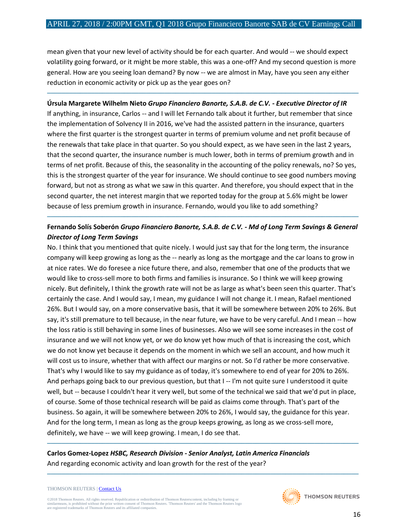mean given that your new level of activity should be for each quarter. And would -- we should expect volatility going forward, or it might be more stable, this was a one-off? And my second question is more general. How are you seeing loan demand? By now -- we are almost in May, have you seen any either reduction in economic activity or pick up as the year goes on?

─────────────────────────────────────────────────────────────────────────────────────

#### **Úrsula Margarete Wilhelm Nieto** *Grupo Financiero Banorte, S.A.B. de C.V. - Executive Director of IR*

If anything, in insurance, Carlos -- and I will let Fernando talk about it further, but remember that since the implementation of Solvency II in 2016, we've had the assisted pattern in the insurance, quarters where the first quarter is the strongest quarter in terms of premium volume and net profit because of the renewals that take place in that quarter. So you should expect, as we have seen in the last 2 years, that the second quarter, the insurance number is much lower, both in terms of premium growth and in terms of net profit. Because of this, the seasonality in the accounting of the policy renewals, no? So yes, this is the strongest quarter of the year for insurance. We should continue to see good numbers moving forward, but not as strong as what we saw in this quarter. And therefore, you should expect that in the second quarter, the net interest margin that we reported today for the group at 5.6% might be lower because of less premium growth in insurance. Fernando, would you like to add something?

## **Fernando Solís Soberón** *Grupo Financiero Banorte, S.A.B. de C.V. - Md of Long Term Savings & General Director of Long Term Savings*

─────────────────────────────────────────────────────────────────────────────────────

No. I think that you mentioned that quite nicely. I would just say that for the long term, the insurance company will keep growing as long as the -- nearly as long as the mortgage and the car loans to grow in at nice rates. We do foresee a nice future there, and also, remember that one of the products that we would like to cross-sell more to both firms and families is insurance. So I think we will keep growing nicely. But definitely, I think the growth rate will not be as large as what's been seen this quarter. That's certainly the case. And I would say, I mean, my guidance I will not change it. I mean, Rafael mentioned 26%. But I would say, on a more conservative basis, that it will be somewhere between 20% to 26%. But say, it's still premature to tell because, in the near future, we have to be very careful. And I mean -- how the loss ratio is still behaving in some lines of businesses. Also we will see some increases in the cost of insurance and we will not know yet, or we do know yet how much of that is increasing the cost, which we do not know yet because it depends on the moment in which we sell an account, and how much it will cost us to insure, whether that with affect our margins or not. So I'd rather be more conservative. That's why I would like to say my guidance as of today, it's somewhere to end of year for 20% to 26%. And perhaps going back to our previous question, but that I -- I'm not quite sure I understood it quite well, but -- because I couldn't hear it very well, but some of the technical we said that we'd put in place, of course. Some of those technical research will be paid as claims come through. That's part of the business. So again, it will be somewhere between 20% to 26%, I would say, the guidance for this year. And for the long term, I mean as long as the group keeps growing, as long as we cross-sell more, definitely, we have -- we will keep growing. I mean, I do see that.

─────────────────────────────────────────────────────────────────────────────────────

─────────────────────────────────────────────────────────────────────────────────────

## **Carlos Gomez-Lopez** *HSBC, Research Division - Senior Analyst, Latin America Financials* And regarding economic activity and loan growth for the rest of the year?

#### THOMSON REUTERS [| Contact Us](http://financial.thomsonreuters.com/en/contact-us.html)

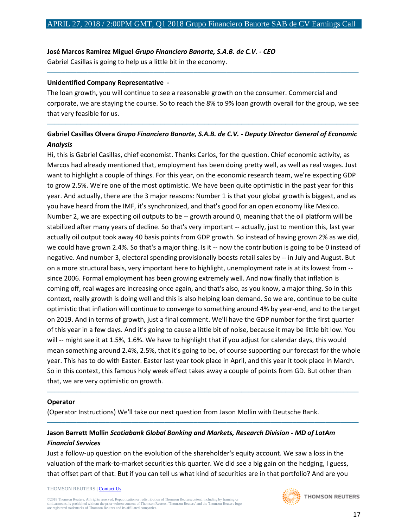#### **José Marcos Ramirez Miguel** *Grupo Financiero Banorte, S.A.B. de C.V. - CEO*

Gabriel Casillas is going to help us a little bit in the economy.

#### **Unidentified Company Representative** *-*

The loan growth, you will continue to see a reasonable growth on the consumer. Commercial and corporate, we are staying the course. So to reach the 8% to 9% loan growth overall for the group, we see that very feasible for us.

─────────────────────────────────────────────────────────────────────────────────────

## **Gabriel Casillas Olvera** *Grupo Financiero Banorte, S.A.B. de C.V. - Deputy Director General of Economic Analysis*

─────────────────────────────────────────────────────────────────────────────────────

Hi, this is Gabriel Casillas, chief economist. Thanks Carlos, for the question. Chief economic activity, as Marcos had already mentioned that, employment has been doing pretty well, as well as real wages. Just want to highlight a couple of things. For this year, on the economic research team, we're expecting GDP to grow 2.5%. We're one of the most optimistic. We have been quite optimistic in the past year for this year. And actually, there are the 3 major reasons: Number 1 is that your global growth is biggest, and as you have heard from the IMF, it's synchronized, and that's good for an open economy like Mexico. Number 2, we are expecting oil outputs to be -- growth around 0, meaning that the oil platform will be stabilized after many years of decline. So that's very important -- actually, just to mention this, last year actually oil output took away 40 basis points from GDP growth. So instead of having grown 2% as we did, we could have grown 2.4%. So that's a major thing. Is it -- now the contribution is going to be 0 instead of negative. And number 3, electoral spending provisionally boosts retail sales by -- in July and August. But on a more structural basis, very important here to highlight, unemployment rate is at its lowest from - since 2006. Formal employment has been growing extremely well. And now finally that inflation is coming off, real wages are increasing once again, and that's also, as you know, a major thing. So in this context, really growth is doing well and this is also helping loan demand. So we are, continue to be quite optimistic that inflation will continue to converge to something around 4% by year-end, and to the target on 2019. And in terms of growth, just a final comment. We'll have the GDP number for the first quarter of this year in a few days. And it's going to cause a little bit of noise, because it may be little bit low. You will -- might see it at 1.5%, 1.6%. We have to highlight that if you adjust for calendar days, this would mean something around 2.4%, 2.5%, that it's going to be, of course supporting our forecast for the whole year. This has to do with Easter. Easter last year took place in April, and this year it took place in March. So in this context, this famous holy week effect takes away a couple of points from GD. But other than that, we are very optimistic on growth.

#### **Operator**

(Operator Instructions) We'll take our next question from Jason Mollin with Deutsche Bank.

## **Jason Barrett Mollin** *Scotiabank Global Banking and Markets, Research Division - MD of LatAm Financial Services*

Just a follow-up question on the evolution of the shareholder's equity account. We saw a loss in the valuation of the mark-to-market securities this quarter. We did see a big gain on the hedging, I guess, that offset part of that. But if you can tell us what kind of securities are in that portfolio? And are you

─────────────────────────────────────────────────────────────────────────────────────

─────────────────────────────────────────────────────────────────────────────────────

THOMSON REUTERS [| Contact Us](http://financial.thomsonreuters.com/en/contact-us.html)